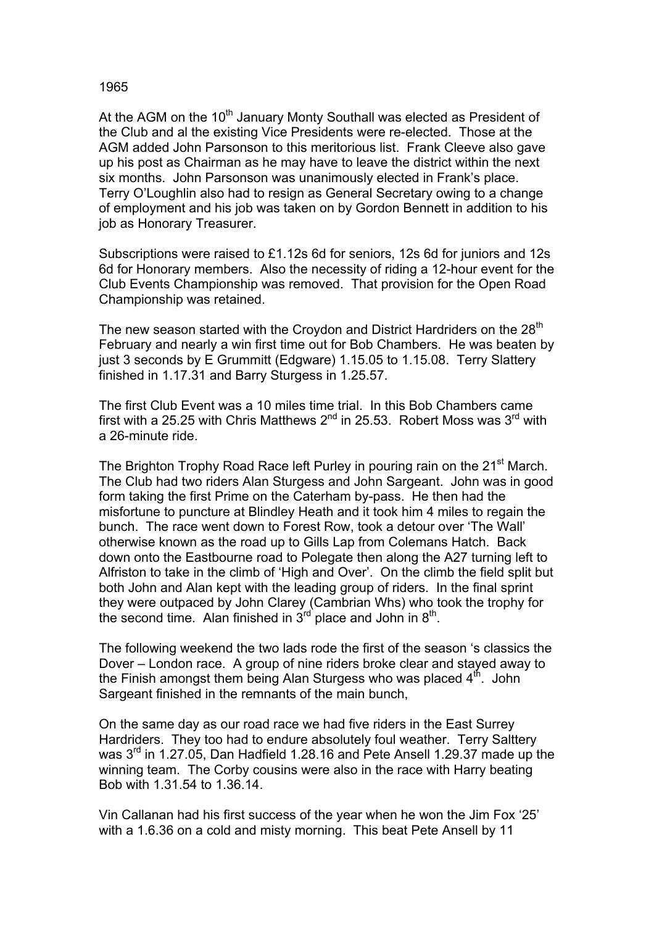## 1965

At the AGM on the 10<sup>th</sup> January Monty Southall was elected as President of the Club and al the existing Vice Presidents were re-elected. Those at the AGM added John Parsonson to this meritorious list. Frank Cleeve also gave up his post as Chairman as he may have to leave the district within the next six months. John Parsonson was unanimously elected in Frank's place. Terry O'Loughlin also had to resign as General Secretary owing to a change of employment and his job was taken on by Gordon Bennett in addition to his job as Honorary Treasurer.

Subscriptions were raised to £1.12s 6d for seniors, 12s 6d for juniors and 12s 6d for Honorary members. Also the necessity of riding a 12-hour event for the Club Events Championship was removed. That provision for the Open Road Championship was retained.

The new season started with the Croydon and District Hardriders on the 28<sup>th</sup> February and nearly a win first time out for Bob Chambers. He was beaten by just 3 seconds by E Grummitt (Edgware) 1.15.05 to 1.15.08. Terry Slattery finished in 1.17.31 and Barry Sturgess in 1.25.57.

The first Club Event was a 10 miles time trial. In this Bob Chambers came first with a 25.25 with Chris Matthews  $2^{nd}$  in 25.53. Robert Moss was  $3^{rd}$  with a 26-minute ride.

The Brighton Trophy Road Race left Purley in pouring rain on the 21<sup>st</sup> March. The Club had two riders Alan Sturgess and John Sargeant. John was in good form taking the first Prime on the Caterham by-pass. He then had the misfortune to puncture at Blindley Heath and it took him 4 miles to regain the bunch. The race went down to Forest Row, took a detour over 'The Wall' otherwise known as the road up to Gills Lap from Colemans Hatch. Back down onto the Eastbourne road to Polegate then along the A27 turning left to Alfriston to take in the climb of 'High and Over'. On the climb the field split but both John and Alan kept with the leading group of riders. In the final sprint they were outpaced by John Clarey (Cambrian Whs) who took the trophy for the second time. Alan finished in  $3^{rd}$  place and John in  $8^{th}$ .

The following weekend the two lads rode the first of the season 's classics the Dover – London race. A group of nine riders broke clear and stayed away to the Finish amongst them being Alan Sturgess who was placed  $4<sup>th</sup>$ . John Sargeant finished in the remnants of the main bunch,

On the same day as our road race we had five riders in the East Surrey Hardriders. They too had to endure absolutely foul weather. Terry Salttery was 3<sup>rd</sup> in 1.27.05, Dan Hadfield 1.28.16 and Pete Ansell 1.29.37 made up the winning team. The Corby cousins were also in the race with Harry beating Bob with 1.31.54 to 1.36.14.

Vin Callanan had his first success of the year when he won the Jim Fox '25' with a 1.6.36 on a cold and misty morning. This beat Pete Ansell by 11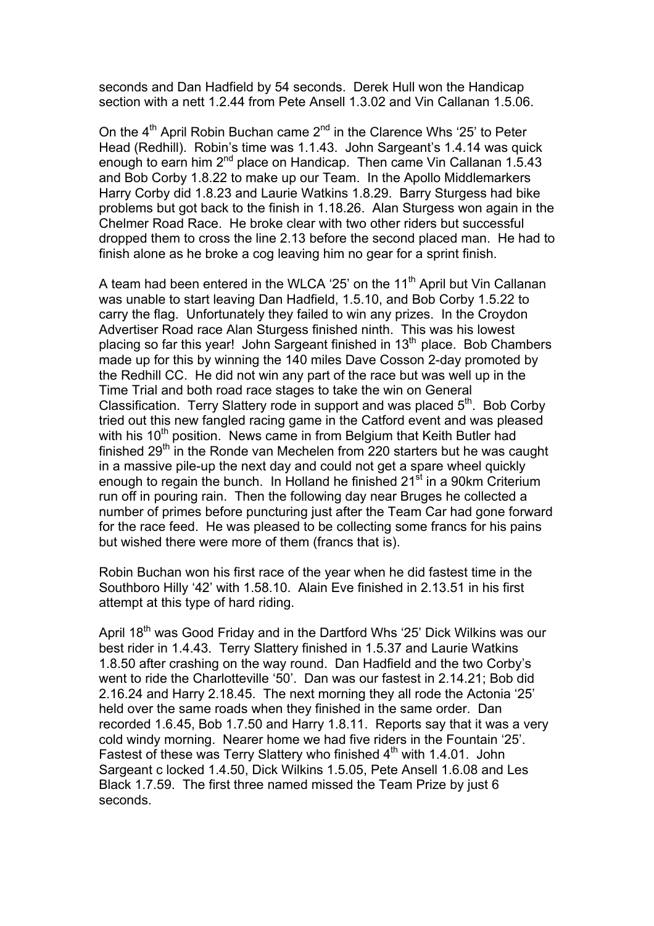seconds and Dan Hadfield by 54 seconds. Derek Hull won the Handicap section with a nett 1.2.44 from Pete Ansell 1.3.02 and Vin Callanan 1.5.06.

On the  $4<sup>th</sup>$  April Robin Buchan came  $2<sup>nd</sup>$  in the Clarence Whs '25' to Peter Head (Redhill). Robin's time was 1.1.43. John Sargeant's 1.4.14 was quick enough to earn him 2<sup>nd</sup> place on Handicap. Then came Vin Callanan 1.5.43 and Bob Corby 1.8.22 to make up our Team. In the Apollo Middlemarkers Harry Corby did 1.8.23 and Laurie Watkins 1.8.29. Barry Sturgess had bike problems but got back to the finish in 1.18.26. Alan Sturgess won again in the Chelmer Road Race. He broke clear with two other riders but successful dropped them to cross the line 2.13 before the second placed man. He had to finish alone as he broke a cog leaving him no gear for a sprint finish.

A team had been entered in the WLCA '25' on the  $11<sup>th</sup>$  April but Vin Callanan was unable to start leaving Dan Hadfield, 1.5.10, and Bob Corby 1.5.22 to carry the flag. Unfortunately they failed to win any prizes. In the Croydon Advertiser Road race Alan Sturgess finished ninth. This was his lowest placing so far this year! John Sargeant finished in 13<sup>th</sup> place. Bob Chambers made up for this by winning the 140 miles Dave Cosson 2-day promoted by the Redhill CC. He did not win any part of the race but was well up in the Time Trial and both road race stages to take the win on General Classification. Terry Slattery rode in support and was placed  $5<sup>th</sup>$ . Bob Corby tried out this new fangled racing game in the Catford event and was pleased with his  $10<sup>th</sup>$  position. News came in from Belgium that Keith Butler had finished 29th in the Ronde van Mechelen from 220 starters but he was caught in a massive pile-up the next day and could not get a spare wheel quickly enough to regain the bunch. In Holland he finished  $21<sup>st</sup>$  in a 90km Criterium run off in pouring rain. Then the following day near Bruges he collected a number of primes before puncturing just after the Team Car had gone forward for the race feed. He was pleased to be collecting some francs for his pains but wished there were more of them (francs that is).

Robin Buchan won his first race of the year when he did fastest time in the Southboro Hilly '42' with 1.58.10. Alain Eve finished in 2.13.51 in his first attempt at this type of hard riding.

April 18<sup>th</sup> was Good Friday and in the Dartford Whs '25' Dick Wilkins was our best rider in 1.4.43. Terry Slattery finished in 1.5.37 and Laurie Watkins 1.8.50 after crashing on the way round. Dan Hadfield and the two Corby's went to ride the Charlotteville '50'. Dan was our fastest in 2.14.21; Bob did 2.16.24 and Harry 2.18.45. The next morning they all rode the Actonia '25' held over the same roads when they finished in the same order. Dan recorded 1.6.45, Bob 1.7.50 and Harry 1.8.11. Reports say that it was a very cold windy morning. Nearer home we had five riders in the Fountain '25'. Fastest of these was Terry Slattery who finished  $4<sup>th</sup>$  with 1.4.01. John Sargeant c locked 1.4.50, Dick Wilkins 1.5.05, Pete Ansell 1.6.08 and Les Black 1.7.59. The first three named missed the Team Prize by just 6 seconds.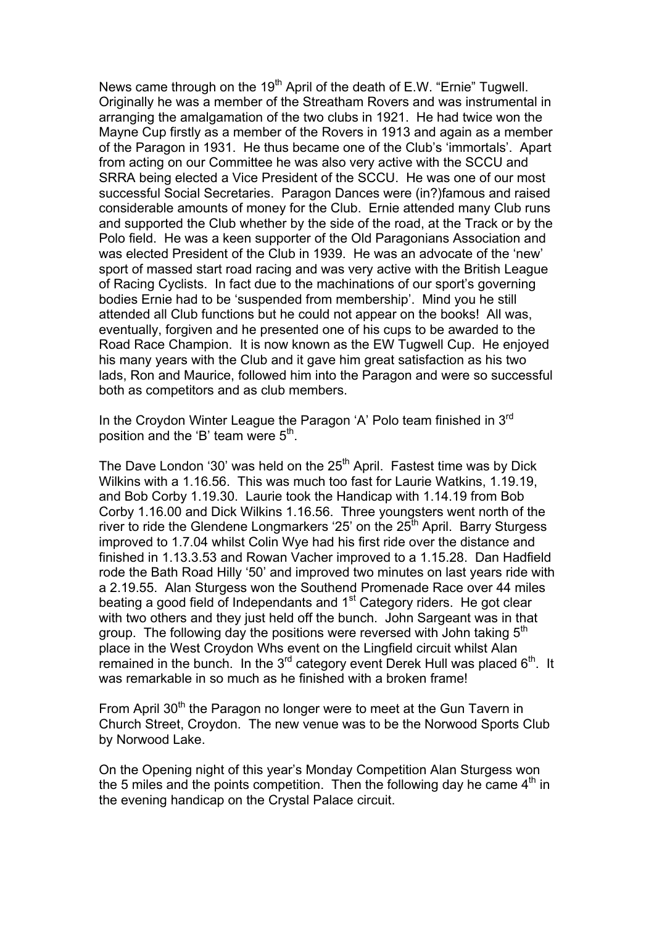News came through on the  $19<sup>th</sup>$  April of the death of E.W. "Ernie" Tugwell. Originally he was a member of the Streatham Rovers and was instrumental in arranging the amalgamation of the two clubs in 1921. He had twice won the Mayne Cup firstly as a member of the Rovers in 1913 and again as a member of the Paragon in 1931. He thus became one of the Club's 'immortals'. Apart from acting on our Committee he was also very active with the SCCU and SRRA being elected a Vice President of the SCCU. He was one of our most successful Social Secretaries. Paragon Dances were (in?)famous and raised considerable amounts of money for the Club. Ernie attended many Club runs and supported the Club whether by the side of the road, at the Track or by the Polo field. He was a keen supporter of the Old Paragonians Association and was elected President of the Club in 1939. He was an advocate of the 'new' sport of massed start road racing and was very active with the British League of Racing Cyclists. In fact due to the machinations of our sport's governing bodies Ernie had to be 'suspended from membership'. Mind you he still attended all Club functions but he could not appear on the books! All was, eventually, forgiven and he presented one of his cups to be awarded to the Road Race Champion. It is now known as the EW Tugwell Cup. He enjoyed his many years with the Club and it gave him great satisfaction as his two lads, Ron and Maurice, followed him into the Paragon and were so successful both as competitors and as club members.

In the Croydon Winter League the Paragon 'A' Polo team finished in 3<sup>rd</sup> position and the 'B' team were  $5<sup>th</sup>$ .

The Dave London '30' was held on the  $25<sup>th</sup>$  April. Fastest time was by Dick Wilkins with a 1.16.56. This was much too fast for Laurie Watkins, 1.19.19, and Bob Corby 1.19.30. Laurie took the Handicap with 1.14.19 from Bob Corby 1.16.00 and Dick Wilkins 1.16.56. Three youngsters went north of the river to ride the Glendene Longmarkers '25' on the  $25<sup>th</sup>$  April. Barry Sturgess improved to 1.7.04 whilst Colin Wye had his first ride over the distance and finished in 1.13.3.53 and Rowan Vacher improved to a 1.15.28. Dan Hadfield rode the Bath Road Hilly '50' and improved two minutes on last years ride with a 2.19.55. Alan Sturgess won the Southend Promenade Race over 44 miles beating a good field of Independants and  $1<sup>st</sup>$  Category riders. He got clear with two others and they just held off the bunch. John Sargeant was in that group. The following day the positions were reversed with John taking 5<sup>th</sup> place in the West Croydon Whs event on the Lingfield circuit whilst Alan remained in the bunch. In the  $3<sup>rd</sup>$  category event Derek Hull was placed  $6<sup>th</sup>$ . It was remarkable in so much as he finished with a broken frame!

From April 30<sup>th</sup> the Paragon no longer were to meet at the Gun Tavern in Church Street, Croydon. The new venue was to be the Norwood Sports Club by Norwood Lake.

On the Opening night of this year's Monday Competition Alan Sturgess won the 5 miles and the points competition. Then the following day he came  $4<sup>th</sup>$  in the evening handicap on the Crystal Palace circuit.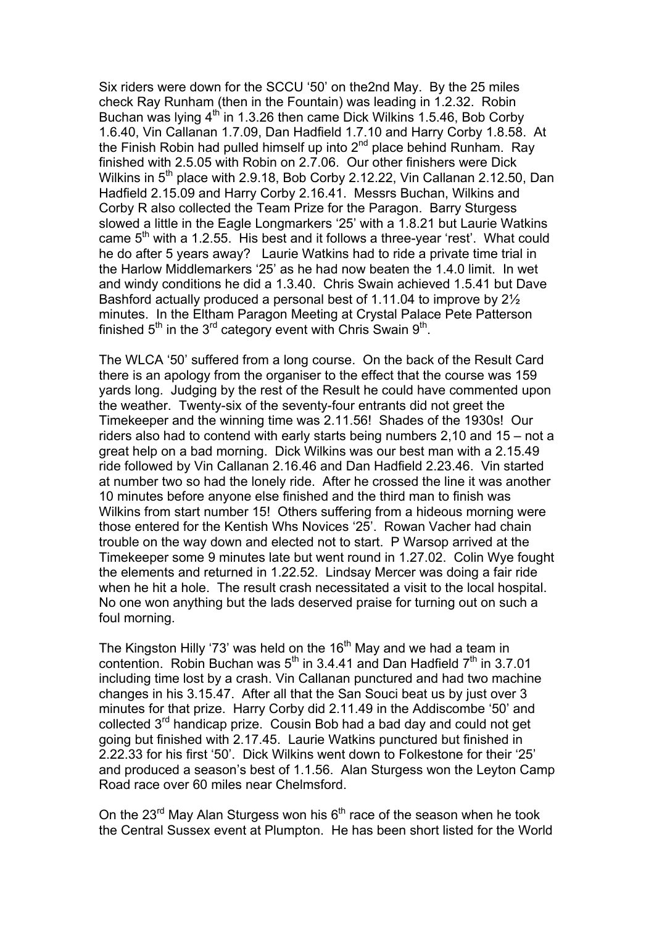Six riders were down for the SCCU '50' on the2nd May. By the 25 miles check Ray Runham (then in the Fountain) was leading in 1.2.32. Robin Buchan was lying  $4<sup>th</sup>$  in 1.3.26 then came Dick Wilkins 1.5.46, Bob Corby 1.6.40, Vin Callanan 1.7.09, Dan Hadfield 1.7.10 and Harry Corby 1.8.58. At the Finish Robin had pulled himself up into 2<sup>nd</sup> place behind Runham. Ray finished with 2.5.05 with Robin on 2.7.06. Our other finishers were Dick Wilkins in 5<sup>th</sup> place with 2.9.18, Bob Corby 2.12.22, Vin Callanan 2.12.50, Dan Hadfield 2.15.09 and Harry Corby 2.16.41. Messrs Buchan, Wilkins and Corby R also collected the Team Prize for the Paragon. Barry Sturgess slowed a little in the Eagle Longmarkers '25' with a 1.8.21 but Laurie Watkins came  $5<sup>th</sup>$  with a 1.2.55. His best and it follows a three-year 'rest'. What could he do after 5 years away? Laurie Watkins had to ride a private time trial in the Harlow Middlemarkers '25' as he had now beaten the 1.4.0 limit. In wet and windy conditions he did a 1.3.40. Chris Swain achieved 1.5.41 but Dave Bashford actually produced a personal best of 1.11.04 to improve by 2½ minutes. In the Eltham Paragon Meeting at Crystal Palace Pete Patterson finished  $5<sup>th</sup>$  in the 3<sup>rd</sup> category event with Chris Swain  $9<sup>th</sup>$ .

The WLCA '50' suffered from a long course. On the back of the Result Card there is an apology from the organiser to the effect that the course was 159 yards long. Judging by the rest of the Result he could have commented upon the weather. Twenty-six of the seventy-four entrants did not greet the Timekeeper and the winning time was 2.11.56! Shades of the 1930s! Our riders also had to contend with early starts being numbers 2,10 and 15 – not a great help on a bad morning. Dick Wilkins was our best man with a 2.15.49 ride followed by Vin Callanan 2.16.46 and Dan Hadfield 2.23.46. Vin started at number two so had the lonely ride. After he crossed the line it was another 10 minutes before anyone else finished and the third man to finish was Wilkins from start number 15! Others suffering from a hideous morning were those entered for the Kentish Whs Novices '25'. Rowan Vacher had chain trouble on the way down and elected not to start. P Warsop arrived at the Timekeeper some 9 minutes late but went round in 1.27.02. Colin Wye fought the elements and returned in 1.22.52. Lindsay Mercer was doing a fair ride when he hit a hole. The result crash necessitated a visit to the local hospital. No one won anything but the lads deserved praise for turning out on such a foul morning.

The Kingston Hilly '73' was held on the  $16<sup>th</sup>$  May and we had a team in contention. Robin Buchan was  $5<sup>th</sup>$  in 3.4.41 and Dan Hadfield  $7<sup>th</sup>$  in 3.7.01 including time lost by a crash. Vin Callanan punctured and had two machine changes in his 3.15.47. After all that the San Souci beat us by just over 3 minutes for that prize. Harry Corby did 2.11.49 in the Addiscombe '50' and collected 3rd handicap prize. Cousin Bob had a bad day and could not get going but finished with 2.17.45. Laurie Watkins punctured but finished in 2.22.33 for his first '50'. Dick Wilkins went down to Folkestone for their '25' and produced a season's best of 1.1.56. Alan Sturgess won the Leyton Camp Road race over 60 miles near Chelmsford.

On the  $23^{\text{rd}}$  May Alan Sturgess won his  $6^{\text{th}}$  race of the season when he took the Central Sussex event at Plumpton. He has been short listed for the World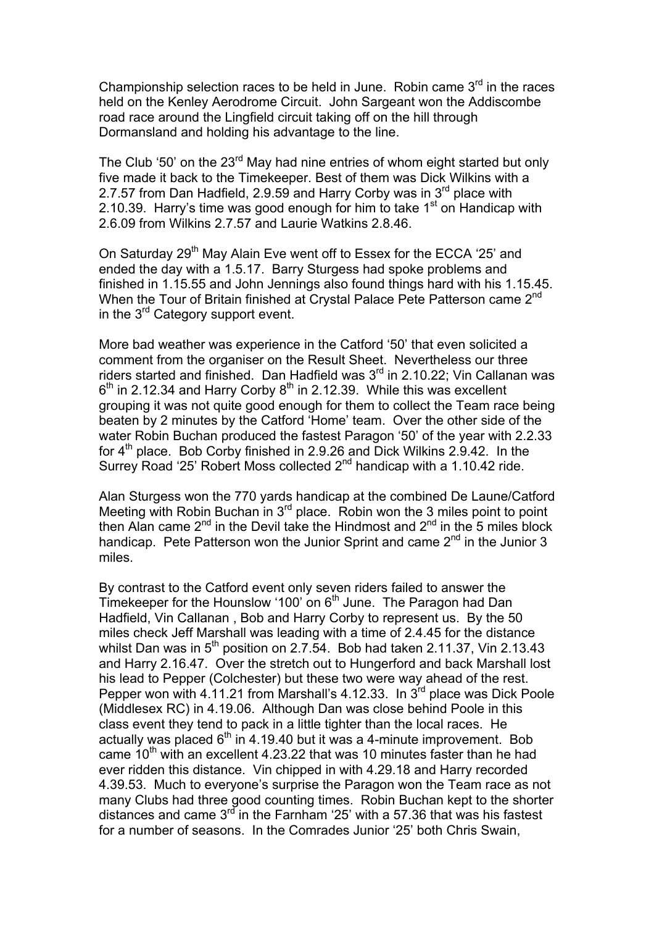Championship selection races to be held in June. Robin came  $3<sup>rd</sup>$  in the races held on the Kenley Aerodrome Circuit. John Sargeant won the Addiscombe road race around the Lingfield circuit taking off on the hill through Dormansland and holding his advantage to the line.

The Club '50' on the 23<sup>rd</sup> May had nine entries of whom eight started but only five made it back to the Timekeeper. Best of them was Dick Wilkins with a 2.7.57 from Dan Hadfield, 2.9.59 and Harry Corby was in  $3<sup>rd</sup>$  place with 2.10.39. Harry's time was good enough for him to take  $1<sup>st</sup>$  on Handicap with 2.6.09 from Wilkins 2.7.57 and Laurie Watkins 2.8.46.

On Saturday 29<sup>th</sup> May Alain Eve went off to Essex for the ECCA '25' and ended the day with a 1.5.17. Barry Sturgess had spoke problems and finished in 1.15.55 and John Jennings also found things hard with his 1.15.45. When the Tour of Britain finished at Crystal Palace Pete Patterson came 2<sup>nd</sup> in the  $3<sup>rd</sup>$  Category support event.

More bad weather was experience in the Catford '50' that even solicited a comment from the organiser on the Result Sheet. Nevertheless our three riders started and finished. Dan Hadfield was  $3<sup>rd</sup>$  in 2.10.22; Vin Callanan was  $6<sup>th</sup>$  in 2.12.34 and Harry Corby  $8<sup>th</sup>$  in 2.12.39. While this was excellent grouping it was not quite good enough for them to collect the Team race being beaten by 2 minutes by the Catford 'Home' team. Over the other side of the water Robin Buchan produced the fastest Paragon '50' of the year with 2.2.33 for 4<sup>th</sup> place. Bob Corby finished in 2.9.26 and Dick Wilkins 2.9.42. In the Surrey Road '25' Robert Moss collected  $2^{nd}$  handicap with a 1.10.42 ride.

Alan Sturgess won the 770 yards handicap at the combined De Laune/Catford Meeting with Robin Buchan in 3<sup>rd</sup> place. Robin won the 3 miles point to point then Alan came  $2^{nd}$  in the Devil take the Hindmost and  $2^{nd}$  in the 5 miles block handicap. Pete Patterson won the Junior Sprint and came  $2<sup>nd</sup>$  in the Junior 3 miles.

By contrast to the Catford event only seven riders failed to answer the Timekeeper for the Hounslow '100' on 6th June. The Paragon had Dan Hadfield, Vin Callanan , Bob and Harry Corby to represent us. By the 50 miles check Jeff Marshall was leading with a time of 2.4.45 for the distance whilst Dan was in  $5<sup>th</sup>$  position on 2.7.54. Bob had taken 2.11.37, Vin 2.13.43 and Harry 2.16.47. Over the stretch out to Hungerford and back Marshall lost his lead to Pepper (Colchester) but these two were way ahead of the rest. Pepper won with 4.11.21 from Marshall's 4.12.33. In 3<sup>rd</sup> place was Dick Poole (Middlesex RC) in 4.19.06. Although Dan was close behind Poole in this class event they tend to pack in a little tighter than the local races. He actually was placed  $6<sup>th</sup>$  in 4.19.40 but it was a 4-minute improvement. Bob came 10<sup>th</sup> with an excellent 4.23.22 that was 10 minutes faster than he had ever ridden this distance. Vin chipped in with 4.29.18 and Harry recorded 4.39.53. Much to everyone's surprise the Paragon won the Team race as not many Clubs had three good counting times. Robin Buchan kept to the shorter distances and came  $3^{rd}$  in the Farnham '25' with a 57.36 that was his fastest for a number of seasons. In the Comrades Junior '25' both Chris Swain,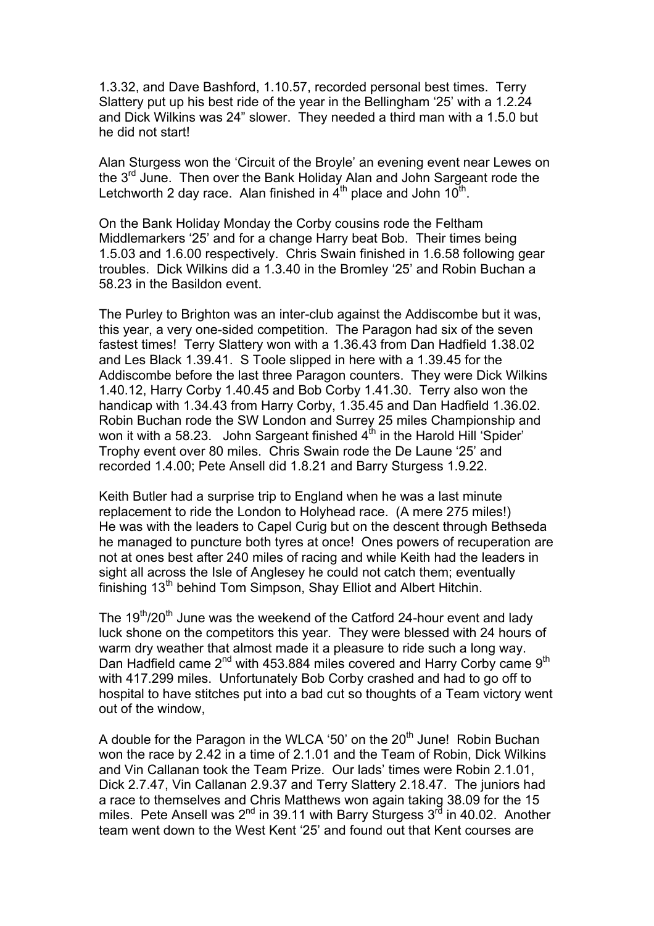1.3.32, and Dave Bashford, 1.10.57, recorded personal best times. Terry Slattery put up his best ride of the year in the Bellingham '25' with a 1.2.24 and Dick Wilkins was 24" slower. They needed a third man with a 1.5.0 but he did not start!

Alan Sturgess won the 'Circuit of the Broyle' an evening event near Lewes on the 3<sup>rd</sup> June. Then over the Bank Holiday Alan and John Sargeant rode the Letchworth 2 day race. Alan finished in  $4<sup>th</sup>$  place and John  $10<sup>th</sup>$ .

On the Bank Holiday Monday the Corby cousins rode the Feltham Middlemarkers '25' and for a change Harry beat Bob. Their times being 1.5.03 and 1.6.00 respectively. Chris Swain finished in 1.6.58 following gear troubles. Dick Wilkins did a 1.3.40 in the Bromley '25' and Robin Buchan a 58.23 in the Basildon event.

The Purley to Brighton was an inter-club against the Addiscombe but it was, this year, a very one-sided competition. The Paragon had six of the seven fastest times! Terry Slattery won with a 1.36.43 from Dan Hadfield 1.38.02 and Les Black 1.39.41. S Toole slipped in here with a 1.39.45 for the Addiscombe before the last three Paragon counters. They were Dick Wilkins 1.40.12, Harry Corby 1.40.45 and Bob Corby 1.41.30. Terry also won the handicap with 1.34.43 from Harry Corby, 1.35.45 and Dan Hadfield 1.36.02. Robin Buchan rode the SW London and Surrey 25 miles Championship and won it with a 58.23. John Sargeant finished  $4<sup>th</sup>$  in the Harold Hill 'Spider' Trophy event over 80 miles. Chris Swain rode the De Laune '25' and recorded 1.4.00; Pete Ansell did 1.8.21 and Barry Sturgess 1.9.22.

Keith Butler had a surprise trip to England when he was a last minute replacement to ride the London to Holyhead race. (A mere 275 miles!) He was with the leaders to Capel Curig but on the descent through Bethseda he managed to puncture both tyres at once! Ones powers of recuperation are not at ones best after 240 miles of racing and while Keith had the leaders in sight all across the Isle of Anglesey he could not catch them; eventually finishing 13<sup>th</sup> behind Tom Simpson, Shay Elliot and Albert Hitchin.

The  $19<sup>th</sup>/20<sup>th</sup>$  June was the weekend of the Catford 24-hour event and lady luck shone on the competitors this year. They were blessed with 24 hours of warm dry weather that almost made it a pleasure to ride such a long way. Dan Hadfield came 2<sup>nd</sup> with 453.884 miles covered and Harry Corby came 9<sup>th</sup> with 417.299 miles. Unfortunately Bob Corby crashed and had to go off to hospital to have stitches put into a bad cut so thoughts of a Team victory went out of the window,

A double for the Paragon in the WLCA '50' on the  $20<sup>th</sup>$  June! Robin Buchan won the race by 2.42 in a time of 2.1.01 and the Team of Robin, Dick Wilkins and Vin Callanan took the Team Prize. Our lads' times were Robin 2.1.01, Dick 2.7.47, Vin Callanan 2.9.37 and Terry Slattery 2.18.47. The juniors had a race to themselves and Chris Matthews won again taking 38.09 for the 15 miles. Pete Ansell was  $2^{nd}$  in 39.11 with Barry Sturgess  $3^{rd}$  in 40.02. Another team went down to the West Kent '25' and found out that Kent courses are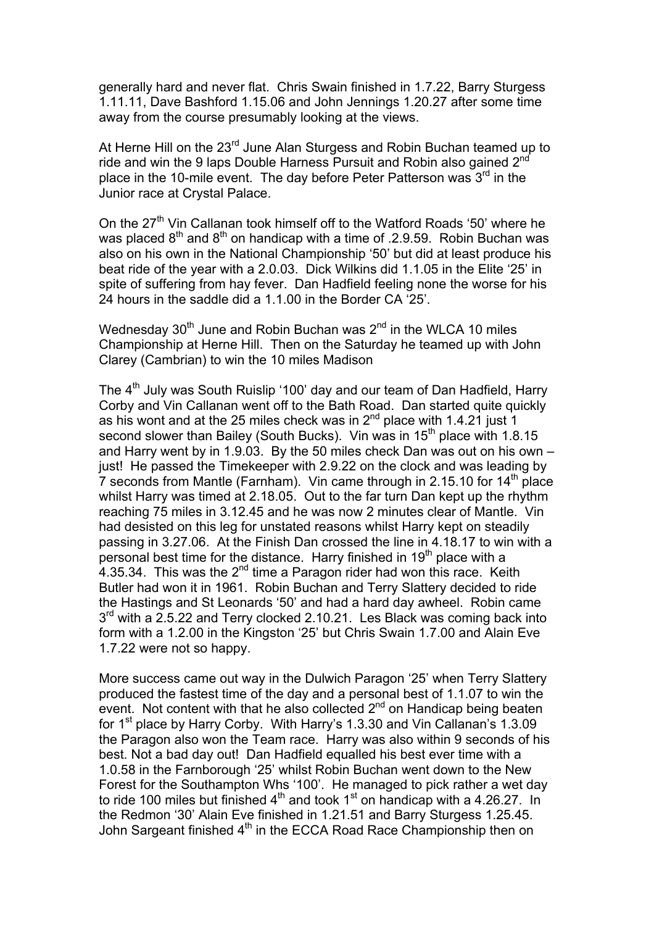generally hard and never flat. Chris Swain finished in 1.7.22, Barry Sturgess 1.11.11, Dave Bashford 1.15.06 and John Jennings 1.20.27 after some time away from the course presumably looking at the views.

At Herne Hill on the 23<sup>rd</sup> June Alan Sturgess and Robin Buchan teamed up to ride and win the 9 laps Double Harness Pursuit and Robin also gained 2nd place in the 10-mile event. The day before Peter Patterson was  $3<sup>rd</sup>$  in the Junior race at Crystal Palace.

On the  $27<sup>th</sup>$  Vin Callanan took himself off to the Watford Roads '50' where he was placed  $8<sup>th</sup>$  and  $8<sup>th</sup>$  on handicap with a time of .2.9.59. Robin Buchan was also on his own in the National Championship '50' but did at least produce his beat ride of the year with a 2.0.03. Dick Wilkins did 1.1.05 in the Elite '25' in spite of suffering from hay fever. Dan Hadfield feeling none the worse for his 24 hours in the saddle did a 1.1.00 in the Border CA '25'.

Wednesday  $30<sup>th</sup>$  June and Robin Buchan was  $2<sup>nd</sup>$  in the WLCA 10 miles Championship at Herne Hill. Then on the Saturday he teamed up with John Clarey (Cambrian) to win the 10 miles Madison

The 4<sup>th</sup> July was South Ruislip '100' day and our team of Dan Hadfield, Harry Corby and Vin Callanan went off to the Bath Road. Dan started quite quickly as his wont and at the 25 miles check was in  $2<sup>nd</sup>$  place with 1.4.21 just 1 second slower than Bailey (South Bucks). Vin was in 15<sup>th</sup> place with 1.8.15 and Harry went by in 1.9.03. By the 50 miles check Dan was out on his own – just! He passed the Timekeeper with 2.9.22 on the clock and was leading by 7 seconds from Mantle (Farnham). Vin came through in 2.15.10 for  $14<sup>th</sup>$  place whilst Harry was timed at 2.18.05. Out to the far turn Dan kept up the rhythm reaching 75 miles in 3.12.45 and he was now 2 minutes clear of Mantle. Vin had desisted on this leg for unstated reasons whilst Harry kept on steadily passing in 3.27.06. At the Finish Dan crossed the line in 4.18.17 to win with a personal best time for the distance. Harry finished in  $19<sup>th</sup>$  place with a 4.35.34. This was the  $2^{nd}$  time a Paragon rider had won this race. Keith Butler had won it in 1961. Robin Buchan and Terry Slattery decided to ride the Hastings and St Leonards '50' and had a hard day awheel. Robin came  $3<sup>rd</sup>$  with a 2.5.22 and Terry clocked 2.10.21. Les Black was coming back into form with a 1.2.00 in the Kingston '25' but Chris Swain 1.7.00 and Alain Eve 1.7.22 were not so happy.

More success came out way in the Dulwich Paragon '25' when Terry Slattery produced the fastest time of the day and a personal best of 1.1.07 to win the event. Not content with that he also collected  $2<sup>nd</sup>$  on Handicap being beaten for 1<sup>st</sup> place by Harry Corby. With Harry's 1.3.30 and Vin Callanan's 1.3.09 the Paragon also won the Team race. Harry was also within 9 seconds of his best. Not a bad day out! Dan Hadfield equalled his best ever time with a 1.0.58 in the Farnborough '25' whilst Robin Buchan went down to the New Forest for the Southampton Whs '100'. He managed to pick rather a wet day to ride 100 miles but finished  $4<sup>th</sup>$  and took 1<sup>st</sup> on handicap with a 4.26.27. In the Redmon '30' Alain Eve finished in 1.21.51 and Barry Sturgess 1.25.45. John Sargeant finished 4<sup>th</sup> in the ECCA Road Race Championship then on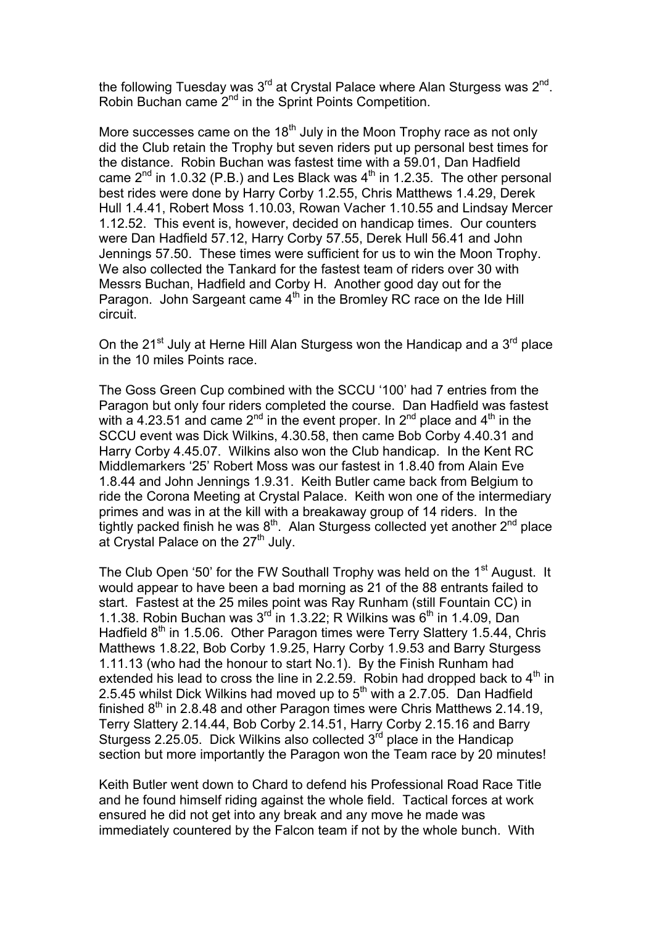the following Tuesday was  $3^{rd}$  at Crystal Palace where Alan Sturgess was  $2^{nd}$ . Robin Buchan came 2<sup>nd</sup> in the Sprint Points Competition.

More successes came on the  $18<sup>th</sup>$  July in the Moon Trophy race as not only did the Club retain the Trophy but seven riders put up personal best times for the distance. Robin Buchan was fastest time with a 59.01, Dan Hadfield came  $2^{nd}$  in 1.0.32 (P.B.) and Les Black was  $4^{th}$  in 1.2.35. The other personal best rides were done by Harry Corby 1.2.55, Chris Matthews 1.4.29, Derek Hull 1.4.41, Robert Moss 1.10.03, Rowan Vacher 1.10.55 and Lindsay Mercer 1.12.52. This event is, however, decided on handicap times. Our counters were Dan Hadfield 57.12, Harry Corby 57.55, Derek Hull 56.41 and John Jennings 57.50. These times were sufficient for us to win the Moon Trophy. We also collected the Tankard for the fastest team of riders over 30 with Messrs Buchan, Hadfield and Corby H. Another good day out for the Paragon. John Sargeant came 4<sup>th</sup> in the Bromley RC race on the Ide Hill circuit.

On the  $21^{st}$  July at Herne Hill Alan Sturgess won the Handicap and a  $3^{rd}$  place in the 10 miles Points race.

The Goss Green Cup combined with the SCCU '100' had 7 entries from the Paragon but only four riders completed the course. Dan Hadfield was fastest with a 4.23.51 and came  $2^{nd}$  in the event proper. In  $2^{nd}$  place and  $4^{th}$  in the SCCU event was Dick Wilkins, 4.30.58, then came Bob Corby 4.40.31 and Harry Corby 4.45.07. Wilkins also won the Club handicap. In the Kent RC Middlemarkers '25' Robert Moss was our fastest in 1.8.40 from Alain Eve 1.8.44 and John Jennings 1.9.31. Keith Butler came back from Belgium to ride the Corona Meeting at Crystal Palace. Keith won one of the intermediary primes and was in at the kill with a breakaway group of 14 riders. In the tightly packed finish he was  $8<sup>th</sup>$ . Alan Sturgess collected yet another  $2<sup>nd</sup>$  place at Crystal Palace on the 27<sup>th</sup> July.

The Club Open '50' for the FW Southall Trophy was held on the 1<sup>st</sup> August. It would appear to have been a bad morning as 21 of the 88 entrants failed to start. Fastest at the 25 miles point was Ray Runham (still Fountain CC) in 1.1.38. Robin Buchan was  $3^{rd}$  in 1.3.22; R Wilkins was  $6^{th}$  in 1.4.09, Dan Hadfield  $8<sup>th</sup>$  in 1.5.06. Other Paragon times were Terry Slattery 1.5.44, Chris Matthews 1.8.22, Bob Corby 1.9.25, Harry Corby 1.9.53 and Barry Sturgess 1.11.13 (who had the honour to start No.1). By the Finish Runham had extended his lead to cross the line in 2.2.59. Robin had dropped back to  $4<sup>th</sup>$  in 2.5.45 whilst Dick Wilkins had moved up to  $5<sup>th</sup>$  with a 2.7.05. Dan Hadfield finished  $8<sup>th</sup>$  in 2.8.48 and other Paragon times were Chris Matthews 2.14.19, Terry Slattery 2.14.44, Bob Corby 2.14.51, Harry Corby 2.15.16 and Barry Sturgess 2.25.05. Dick Wilkins also collected  $3<sup>rd</sup>$  place in the Handicap section but more importantly the Paragon won the Team race by 20 minutes!

Keith Butler went down to Chard to defend his Professional Road Race Title and he found himself riding against the whole field. Tactical forces at work ensured he did not get into any break and any move he made was immediately countered by the Falcon team if not by the whole bunch. With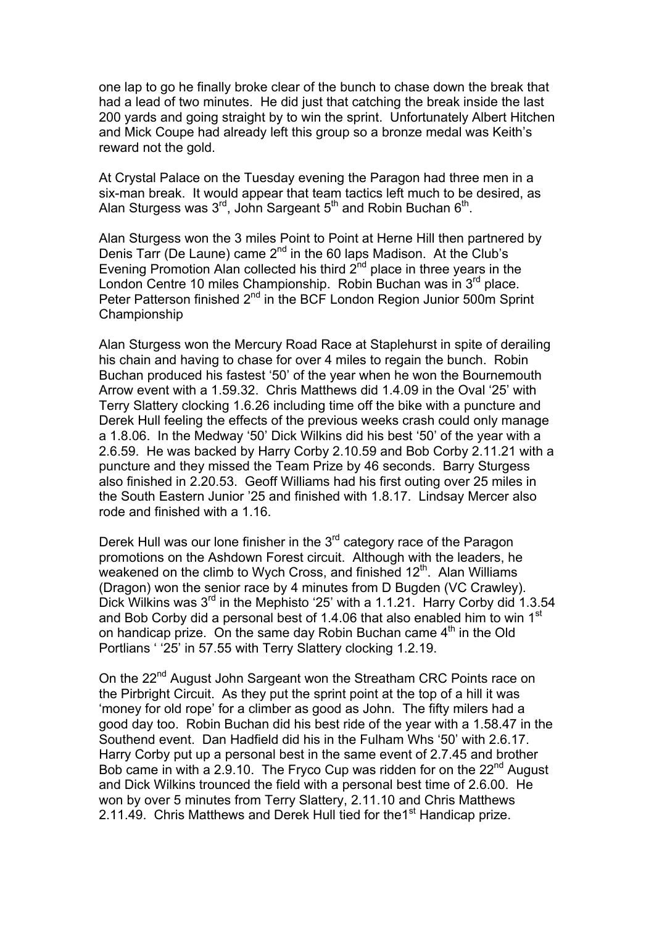one lap to go he finally broke clear of the bunch to chase down the break that had a lead of two minutes. He did just that catching the break inside the last 200 yards and going straight by to win the sprint. Unfortunately Albert Hitchen and Mick Coupe had already left this group so a bronze medal was Keith's reward not the gold.

At Crystal Palace on the Tuesday evening the Paragon had three men in a six-man break. It would appear that team tactics left much to be desired, as Alan Sturgess was  $3<sup>rd</sup>$ , John Sargeant  $5<sup>th</sup>$  and Robin Buchan  $6<sup>th</sup>$ .

Alan Sturgess won the 3 miles Point to Point at Herne Hill then partnered by Denis Tarr (De Laune) came  $2^{nd}$  in the 60 laps Madison. At the Club's Evening Promotion Alan collected his third  $2<sup>nd</sup>$  place in three years in the London Centre 10 miles Championship. Robin Buchan was in 3<sup>rd</sup> place. Peter Patterson finished 2<sup>nd</sup> in the BCF London Region Junior 500m Sprint Championship

Alan Sturgess won the Mercury Road Race at Staplehurst in spite of derailing his chain and having to chase for over 4 miles to regain the bunch. Robin Buchan produced his fastest '50' of the year when he won the Bournemouth Arrow event with a 1.59.32. Chris Matthews did 1.4.09 in the Oval '25' with Terry Slattery clocking 1.6.26 including time off the bike with a puncture and Derek Hull feeling the effects of the previous weeks crash could only manage a 1.8.06. In the Medway '50' Dick Wilkins did his best '50' of the year with a 2.6.59. He was backed by Harry Corby 2.10.59 and Bob Corby 2.11.21 with a puncture and they missed the Team Prize by 46 seconds. Barry Sturgess also finished in 2.20.53. Geoff Williams had his first outing over 25 miles in the South Eastern Junior '25 and finished with 1.8.17. Lindsay Mercer also rode and finished with a 1.16.

Derek Hull was our lone finisher in the  $3<sup>rd</sup>$  category race of the Paragon promotions on the Ashdown Forest circuit. Although with the leaders, he weakened on the climb to Wych Cross, and finished  $12<sup>th</sup>$ . Alan Williams (Dragon) won the senior race by 4 minutes from D Bugden (VC Crawley). Dick Wilkins was 3<sup>rd</sup> in the Mephisto '25' with a 1.1.21. Harry Corby did 1.3.54 and Bob Corby did a personal best of 1.4.06 that also enabled him to win 1<sup>st</sup> on handicap prize. On the same day Robin Buchan came  $4<sup>th</sup>$  in the Old Portlians ' '25' in 57.55 with Terry Slattery clocking 1.2.19.

On the 22<sup>nd</sup> August John Sargeant won the Streatham CRC Points race on the Pirbright Circuit. As they put the sprint point at the top of a hill it was 'money for old rope' for a climber as good as John. The fifty milers had a good day too. Robin Buchan did his best ride of the year with a 1.58.47 in the Southend event. Dan Hadfield did his in the Fulham Whs '50' with 2.6.17. Harry Corby put up a personal best in the same event of 2.7.45 and brother Bob came in with a 2.9.10. The Fryco Cup was ridden for on the  $22<sup>nd</sup>$  August and Dick Wilkins trounced the field with a personal best time of 2.6.00. He won by over 5 minutes from Terry Slattery, 2.11.10 and Chris Matthews 2.11.49. Chris Matthews and Derek Hull tied for the 1<sup>st</sup> Handicap prize.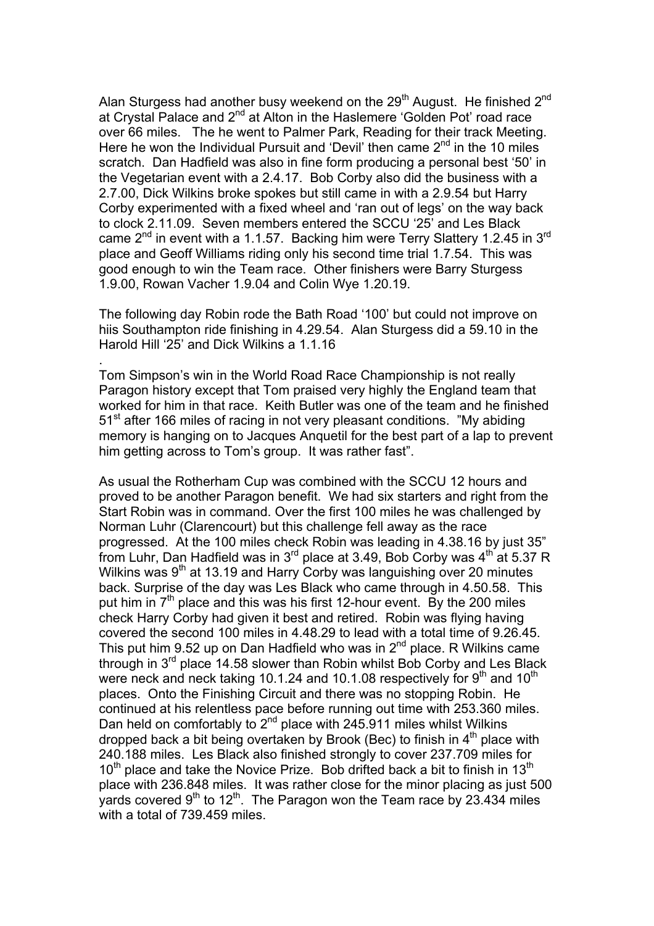Alan Sturgess had another busy weekend on the  $29<sup>th</sup>$  August. He finished  $2<sup>nd</sup>$ at Crystal Palace and 2<sup>nd</sup> at Alton in the Haslemere 'Golden Pot' road race over 66 miles. The he went to Palmer Park, Reading for their track Meeting. Here he won the Individual Pursuit and 'Devil' then came  $2<sup>nd</sup>$  in the 10 miles scratch. Dan Hadfield was also in fine form producing a personal best '50' in the Vegetarian event with a 2.4.17. Bob Corby also did the business with a 2.7.00, Dick Wilkins broke spokes but still came in with a 2.9.54 but Harry Corby experimented with a fixed wheel and 'ran out of legs' on the way back to clock 2.11.09. Seven members entered the SCCU '25' and Les Black came  $2^{nd}$  in event with a 1.1.57. Backing him were Terry Slattery 1.2.45 in  $3^{rd}$ place and Geoff Williams riding only his second time trial 1.7.54. This was good enough to win the Team race. Other finishers were Barry Sturgess 1.9.00, Rowan Vacher 1.9.04 and Colin Wye 1.20.19.

The following day Robin rode the Bath Road '100' but could not improve on hiis Southampton ride finishing in 4.29.54. Alan Sturgess did a 59.10 in the Harold Hill '25' and Dick Wilkins a 1.1.16

.

Tom Simpson's win in the World Road Race Championship is not really Paragon history except that Tom praised very highly the England team that worked for him in that race. Keith Butler was one of the team and he finished 51<sup>st</sup> after 166 miles of racing in not very pleasant conditions. "My abiding memory is hanging on to Jacques Anquetil for the best part of a lap to prevent him getting across to Tom's group. It was rather fast".

As usual the Rotherham Cup was combined with the SCCU 12 hours and proved to be another Paragon benefit. We had six starters and right from the Start Robin was in command. Over the first 100 miles he was challenged by Norman Luhr (Clarencourt) but this challenge fell away as the race progressed. At the 100 miles check Robin was leading in 4.38.16 by just 35" from Luhr, Dan Hadfield was in  $3<sup>rd</sup>$  place at 3.49, Bob Corby was  $4<sup>th</sup>$  at 5.37 R Wilkins was  $9<sup>th</sup>$  at 13.19 and Harry Corby was languishing over 20 minutes back. Surprise of the day was Les Black who came through in 4.50.58. This put him in  $7<sup>th</sup>$  place and this was his first 12-hour event. By the 200 miles check Harry Corby had given it best and retired. Robin was flying having covered the second 100 miles in 4.48.29 to lead with a total time of 9.26.45. This put him 9.52 up on Dan Hadfield who was in  $2<sup>nd</sup>$  place. R Wilkins came through in  $3<sup>rd</sup>$  place 14.58 slower than Robin whilst Bob Corby and Les Black were neck and neck taking 10.1.24 and 10.1.08 respectively for  $9<sup>th</sup>$  and 10<sup>th</sup> places. Onto the Finishing Circuit and there was no stopping Robin. He continued at his relentless pace before running out time with 253.360 miles. Dan held on comfortably to 2<sup>nd</sup> place with 245.911 miles whilst Wilkins dropped back a bit being overtaken by Brook (Bec) to finish in  $4<sup>th</sup>$  place with 240.188 miles. Les Black also finished strongly to cover 237.709 miles for  $10<sup>th</sup>$  place and take the Novice Prize. Bob drifted back a bit to finish in 13<sup>th</sup> place with 236.848 miles. It was rather close for the minor placing as just 500 vards covered  $9<sup>th</sup>$  to 12<sup>th</sup>. The Paragon won the Team race by 23.434 miles with a total of 739.459 miles.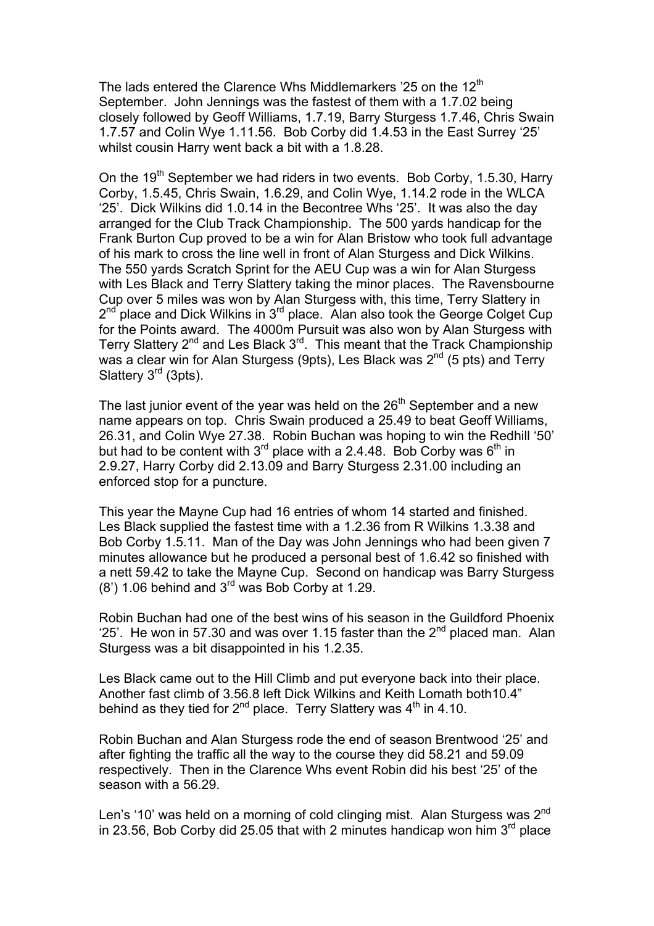The lads entered the Clarence Whs Middlemarkers  $25$  on the  $12<sup>th</sup>$ September. John Jennings was the fastest of them with a 1.7.02 being closely followed by Geoff Williams, 1.7.19, Barry Sturgess 1.7.46, Chris Swain 1.7.57 and Colin Wye 1.11.56. Bob Corby did 1.4.53 in the East Surrey '25' whilst cousin Harry went back a bit with a 1.8.28.

On the  $19<sup>th</sup>$  September we had riders in two events. Bob Corby, 1.5.30, Harry Corby, 1.5.45, Chris Swain, 1.6.29, and Colin Wye, 1.14.2 rode in the WLCA '25'. Dick Wilkins did 1.0.14 in the Becontree Whs '25'. It was also the day arranged for the Club Track Championship. The 500 yards handicap for the Frank Burton Cup proved to be a win for Alan Bristow who took full advantage of his mark to cross the line well in front of Alan Sturgess and Dick Wilkins. The 550 yards Scratch Sprint for the AEU Cup was a win for Alan Sturgess with Les Black and Terry Slattery taking the minor places. The Ravensbourne Cup over 5 miles was won by Alan Sturgess with, this time, Terry Slattery in  $2<sup>nd</sup>$  place and Dick Wilkins in  $3<sup>rd</sup>$  place. Alan also took the George Colget Cup for the Points award. The 4000m Pursuit was also won by Alan Sturgess with Terry Slattery 2<sup>nd</sup> and Les Black 3<sup>rd</sup>. This meant that the Track Championship was a clear win for Alan Sturgess (9pts), Les Black was 2<sup>nd</sup> (5 pts) and Terry Slattery 3<sup>rd</sup> (3pts).

The last junior event of the year was held on the  $26<sup>th</sup>$  September and a new name appears on top. Chris Swain produced a 25.49 to beat Geoff Williams, 26.31, and Colin Wye 27.38. Robin Buchan was hoping to win the Redhill '50' but had to be content with  $3^{rd}$  place with a 2.4.48. Bob Corby was  $6^{th}$  in 2.9.27, Harry Corby did 2.13.09 and Barry Sturgess 2.31.00 including an enforced stop for a puncture.

This year the Mayne Cup had 16 entries of whom 14 started and finished. Les Black supplied the fastest time with a 1.2.36 from R Wilkins 1.3.38 and Bob Corby 1.5.11. Man of the Day was John Jennings who had been given 7 minutes allowance but he produced a personal best of 1.6.42 so finished with a nett 59.42 to take the Mayne Cup. Second on handicap was Barry Sturgess (8') 1.06 behind and 3rd was Bob Corby at 1.29.

Robin Buchan had one of the best wins of his season in the Guildford Phoenix '25'. He won in 57.30 and was over 1.15 faster than the  $2^{nd}$  placed man. Alan Sturgess was a bit disappointed in his 1.2.35.

Les Black came out to the Hill Climb and put everyone back into their place. Another fast climb of 3.56.8 left Dick Wilkins and Keith Lomath both10.4" behind as they tied for  $2^{nd}$  place. Terry Slattery was  $4^{th}$  in 4.10.

Robin Buchan and Alan Sturgess rode the end of season Brentwood '25' and after fighting the traffic all the way to the course they did 58.21 and 59.09 respectively. Then in the Clarence Whs event Robin did his best '25' of the season with a 56.29.

Len's '10' was held on a morning of cold clinging mist. Alan Sturgess was 2<sup>nd</sup> in 23.56, Bob Corby did 25.05 that with 2 minutes handicap won him  $3<sup>rd</sup>$  place